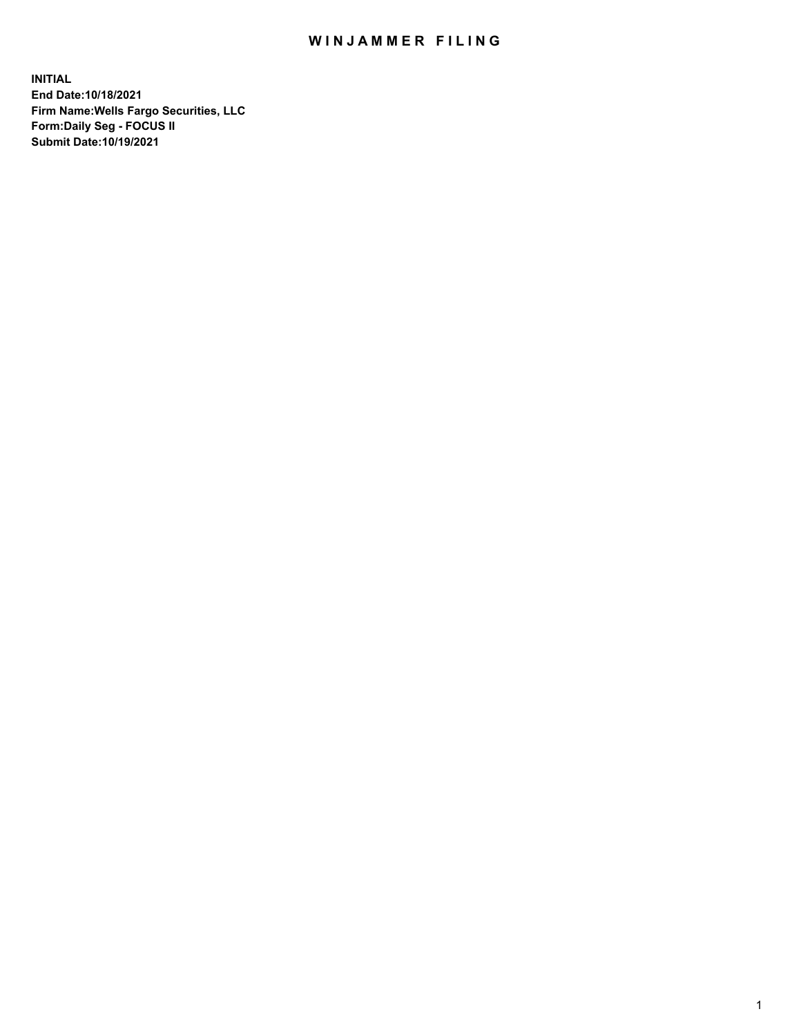## WIN JAMMER FILING

**INITIAL End Date:10/18/2021 Firm Name:Wells Fargo Securities, LLC Form:Daily Seg - FOCUS II Submit Date:10/19/2021**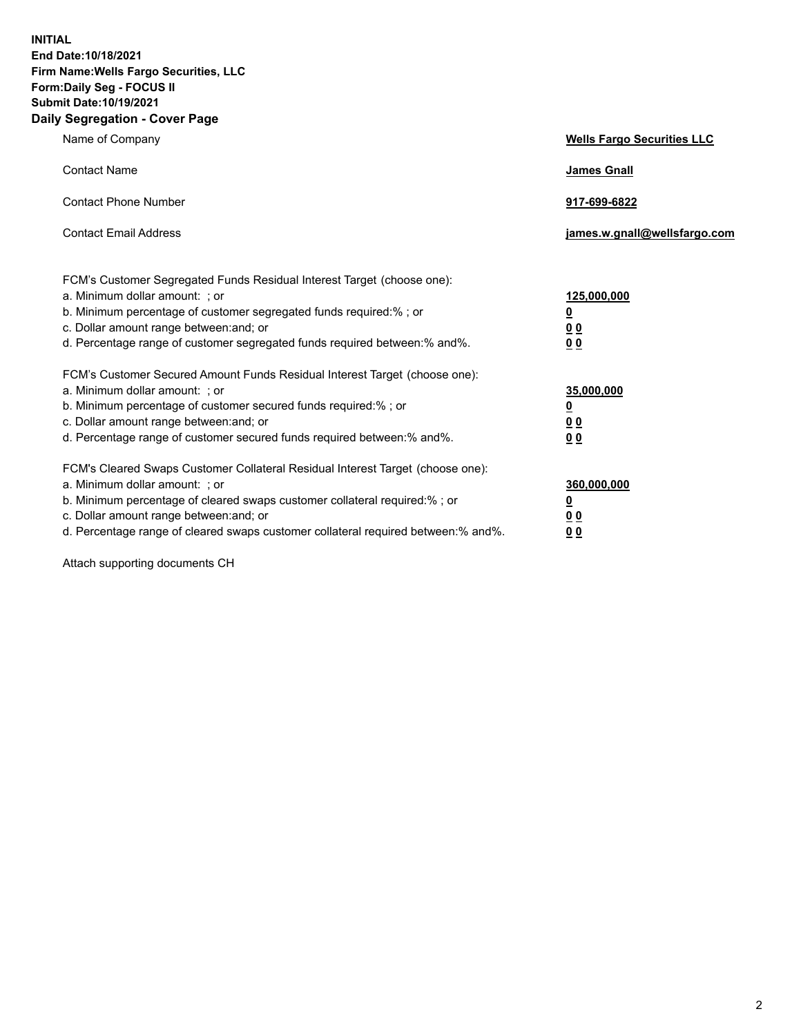**INITIAL End Date:10/18/2021 Firm Name:Wells Fargo Securities, LLC Form:Daily Seg - FOCUS II Submit Date:10/19/2021 Daily Segregation - Cover Page**

| Name of Company                                                                                                                                                                                                                                                                                                               | <b>Wells Fargo Securities LLC</b>                          |
|-------------------------------------------------------------------------------------------------------------------------------------------------------------------------------------------------------------------------------------------------------------------------------------------------------------------------------|------------------------------------------------------------|
| <b>Contact Name</b>                                                                                                                                                                                                                                                                                                           | <b>James Gnall</b>                                         |
| <b>Contact Phone Number</b>                                                                                                                                                                                                                                                                                                   | 917-699-6822                                               |
| <b>Contact Email Address</b>                                                                                                                                                                                                                                                                                                  | james.w.gnall@wellsfargo.com                               |
| FCM's Customer Segregated Funds Residual Interest Target (choose one):<br>a. Minimum dollar amount: ; or<br>b. Minimum percentage of customer segregated funds required:% ; or<br>c. Dollar amount range between: and; or<br>d. Percentage range of customer segregated funds required between:% and%.                        | 125,000,000<br><u>0</u><br>0 <sub>0</sub><br>00            |
| FCM's Customer Secured Amount Funds Residual Interest Target (choose one):<br>a. Minimum dollar amount: ; or<br>b. Minimum percentage of customer secured funds required:%; or<br>c. Dollar amount range between: and; or<br>d. Percentage range of customer secured funds required between: % and %.                         | 35,000,000<br><u>0</u><br>0 <sub>0</sub><br>0 <sub>0</sub> |
| FCM's Cleared Swaps Customer Collateral Residual Interest Target (choose one):<br>a. Minimum dollar amount: ; or<br>b. Minimum percentage of cleared swaps customer collateral required:%; or<br>c. Dollar amount range between: and; or<br>d. Percentage range of cleared swaps customer collateral required between:% and%. | 360,000,000<br><u>0</u><br>00<br>00                        |

Attach supporting documents CH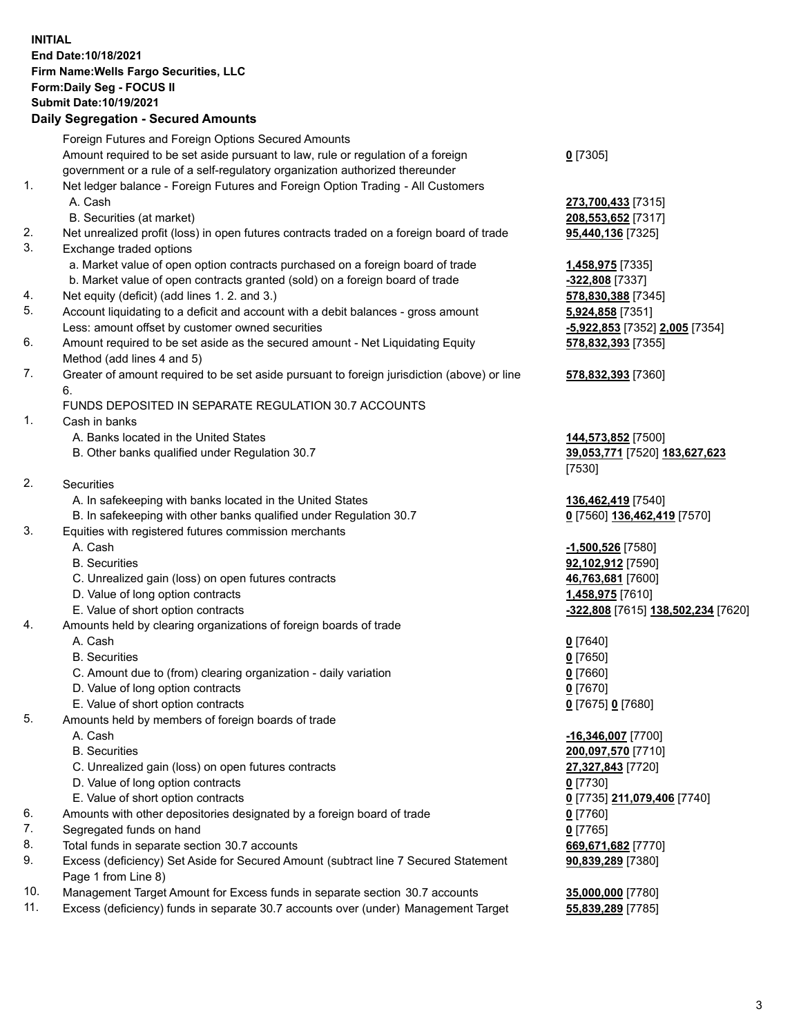**INITIAL End Date:10/18/2021 Firm Name:Wells Fargo Securities, LLC Form:Daily Seg - FOCUS II Submit Date:10/19/2021**

## **Daily Segregation - Secured Amounts**

|     | Foreign Futures and Foreign Options Secured Amounts                                                        |                                    |
|-----|------------------------------------------------------------------------------------------------------------|------------------------------------|
|     | Amount required to be set aside pursuant to law, rule or regulation of a foreign                           | $0$ [7305]                         |
|     | government or a rule of a self-regulatory organization authorized thereunder                               |                                    |
| 1.  | Net ledger balance - Foreign Futures and Foreign Option Trading - All Customers                            |                                    |
|     | A. Cash                                                                                                    | 273,700,433 [7315]                 |
|     | B. Securities (at market)                                                                                  | 208,553,652 [7317]                 |
| 2.  | Net unrealized profit (loss) in open futures contracts traded on a foreign board of trade                  | 95,440,136 [7325]                  |
| 3.  | Exchange traded options                                                                                    |                                    |
|     | a. Market value of open option contracts purchased on a foreign board of trade                             | 1,458,975 [7335]                   |
|     | b. Market value of open contracts granted (sold) on a foreign board of trade                               | -322,808 [7337]                    |
| 4.  | Net equity (deficit) (add lines 1. 2. and 3.)                                                              | 578,830,388 [7345]                 |
| 5.  | Account liquidating to a deficit and account with a debit balances - gross amount                          | 5,924,858 [7351]                   |
|     | Less: amount offset by customer owned securities                                                           | -5,922,853 [7352] 2,005 [7354]     |
| 6.  | Amount required to be set aside as the secured amount - Net Liquidating Equity                             | 578,832,393 [7355]                 |
|     | Method (add lines 4 and 5)                                                                                 |                                    |
| 7.  | Greater of amount required to be set aside pursuant to foreign jurisdiction (above) or line                | 578,832,393 [7360]                 |
|     | 6.                                                                                                         |                                    |
|     | FUNDS DEPOSITED IN SEPARATE REGULATION 30.7 ACCOUNTS                                                       |                                    |
| 1.  | Cash in banks                                                                                              |                                    |
|     | A. Banks located in the United States                                                                      | 144,573,852 [7500]                 |
|     | B. Other banks qualified under Regulation 30.7                                                             | 39,053,771 [7520] 183,627,623      |
|     |                                                                                                            | [7530]                             |
| 2.  | Securities                                                                                                 |                                    |
|     | A. In safekeeping with banks located in the United States                                                  | 136,462,419 [7540]                 |
|     | B. In safekeeping with other banks qualified under Regulation 30.7                                         | 0 [7560] 136,462,419 [7570]        |
| 3.  | Equities with registered futures commission merchants                                                      |                                    |
|     | A. Cash                                                                                                    | -1,500,526 [7580]                  |
|     | <b>B.</b> Securities                                                                                       | 92,102,912 [7590]                  |
|     | C. Unrealized gain (loss) on open futures contracts                                                        | 46,763,681 [7600]                  |
|     | D. Value of long option contracts                                                                          | 1,458,975 [7610]                   |
|     | E. Value of short option contracts                                                                         | -322,808 [7615] 138,502,234 [7620] |
| 4.  | Amounts held by clearing organizations of foreign boards of trade                                          |                                    |
|     | A. Cash                                                                                                    | $0$ [7640]                         |
|     | <b>B.</b> Securities                                                                                       | $0$ [7650]                         |
|     | C. Amount due to (from) clearing organization - daily variation                                            | $0$ [7660]                         |
|     | D. Value of long option contracts                                                                          | $0$ [7670]                         |
|     | E. Value of short option contracts                                                                         | 0 [7675] 0 [7680]                  |
|     | Amounts held by members of foreign boards of trade                                                         |                                    |
|     | A. Cash                                                                                                    | $-16,346,007$ [7700]               |
|     | <b>B.</b> Securities                                                                                       | 200,097,570 [7710]                 |
|     | C. Unrealized gain (loss) on open futures contracts                                                        | 27,327,843 [7720]                  |
|     | D. Value of long option contracts                                                                          | $0$ [7730]                         |
|     | E. Value of short option contracts                                                                         | 0 [7735] 211,079,406 [7740]        |
| 6.  | Amounts with other depositories designated by a foreign board of trade                                     | 0 [7760]                           |
| 7.  | Segregated funds on hand                                                                                   | $0$ [7765]                         |
| 8.  | Total funds in separate section 30.7 accounts                                                              | 669,671,682 [7770]                 |
| 9.  | Excess (deficiency) Set Aside for Secured Amount (subtract line 7 Secured Statement<br>Page 1 from Line 8) | 90,839,289 [7380]                  |
| 10. | Management Target Amount for Excess funds in separate section 30.7 accounts                                | 35,000,000 [7780]                  |

11. Excess (deficiency) funds in separate 30.7 accounts over (under) Management Target **55,839,289** [7785]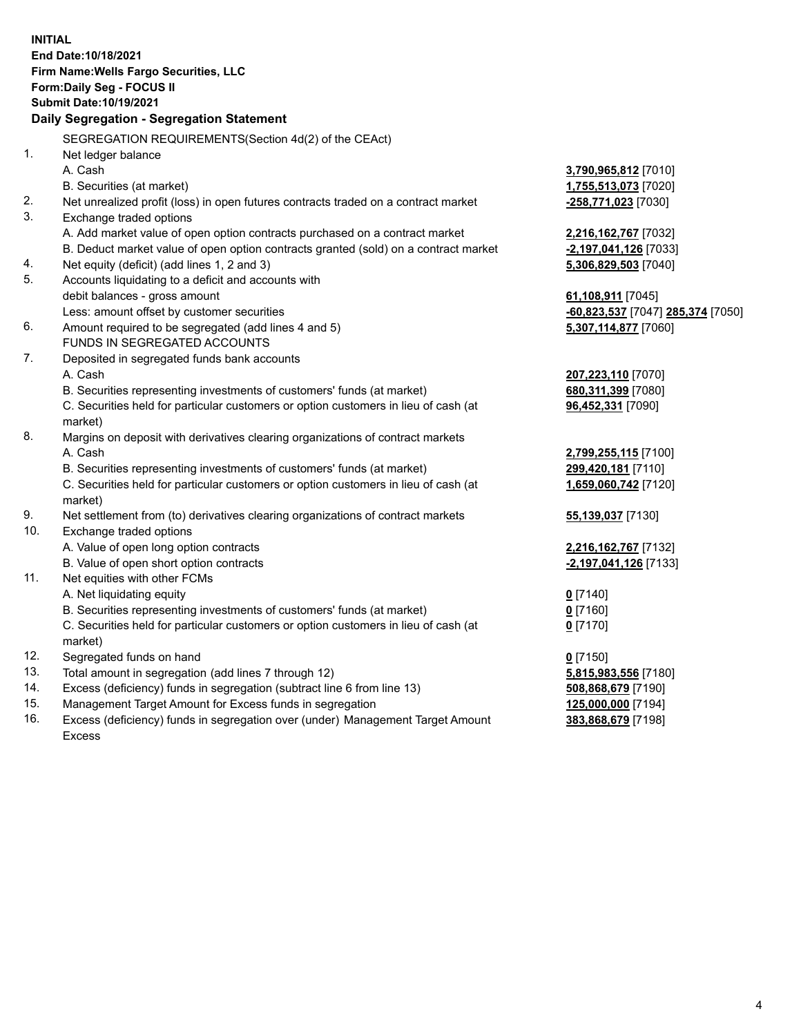**INITIAL End Date:10/18/2021 Firm Name:Wells Fargo Securities, LLC Form:Daily Seg - FOCUS II Submit Date:10/19/2021 Daily Segregation - Segregation Statement** SEGREGATION REQUIREMENTS(Section 4d(2) of the CEAct) 1. Net ledger balance A. Cash **3,790,965,812** [7010] B. Securities (at market) **1,755,513,073** [7020] 2. Net unrealized profit (loss) in open futures contracts traded on a contract market **-258,771,023** [7030] 3. Exchange traded options A. Add market value of open option contracts purchased on a contract market **2,216,162,767** [7032] B. Deduct market value of open option contracts granted (sold) on a contract market **-2,197,041,126** [7033] 4. Net equity (deficit) (add lines 1, 2 and 3) **5,306,829,503** [7040] 5. Accounts liquidating to a deficit and accounts with debit balances - gross amount **61,108,911** [7045] Less: amount offset by customer securities **-60,823,537** [7047] **285,374** [7050] 6. Amount required to be segregated (add lines 4 and 5) **5,307,114,877** [7060] FUNDS IN SEGREGATED ACCOUNTS 7. Deposited in segregated funds bank accounts A. Cash **207,223,110** [7070] B. Securities representing investments of customers' funds (at market) **680,311,399** [7080] C. Securities held for particular customers or option customers in lieu of cash (at market) **96,452,331** [7090] 8. Margins on deposit with derivatives clearing organizations of contract markets A. Cash **2,799,255,115** [7100] B. Securities representing investments of customers' funds (at market) **299,420,181** [7110] C. Securities held for particular customers or option customers in lieu of cash (at market) **1,659,060,742** [7120] 9. Net settlement from (to) derivatives clearing organizations of contract markets **55,139,037** [7130] 10. Exchange traded options A. Value of open long option contracts **2,216,162,767** [7132] B. Value of open short option contracts **-2,197,041,126** [7133] 11. Net equities with other FCMs A. Net liquidating equity **0** [7140] B. Securities representing investments of customers' funds (at market) **0** [7160] C. Securities held for particular customers or option customers in lieu of cash (at market) **0** [7170] 12. Segregated funds on hand **0** [7150] 13. Total amount in segregation (add lines 7 through 12) **5,815,983,556** [7180] 14. Excess (deficiency) funds in segregation (subtract line 6 from line 13) **508,868,679** [7190]

- 15. Management Target Amount for Excess funds in segregation **125,000,000** [7194]
- 16. Excess (deficiency) funds in segregation over (under) Management Target Amount Excess

**383,868,679** [7198]